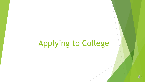# Applying to College

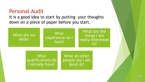#### Personal Audit

It is a good idea to start by putting your thoughts down on a piece of paper before you start.



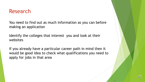#### Research

You need to find out as much information as you can before making an application

Identify the colleges that interest you and look at their websites

If you already have a particular career path in mind then it would be good idea to check what qualifications you need to apply for jobs in that area



 W h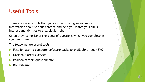# Useful Tools

There are various tools that you can use which give you more information about various careers and help you match your skills, interest and abilities to a particular job.

Often they comprise of short sets of questions which you complete in your own time.

The following are useful tools:

- Fast Tomato a computer software package available through SVC
- National Careers Service
- Pearson careers questionnaire
- BBC bitesize

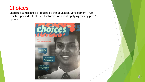# **Choices**

Choices is a magazine produced by the Education Development Trust which is packed full of useful information about applying for any post 16 options.



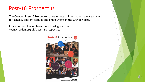#### Post-16 Prospectus

The Croydon Post-16 Prospectus contains lots of information about applying for college, apprenticeships and employment in the Croydon area.

It can be downloaded from the following website: youngcroydon.org.uk/post-16-prospectus/



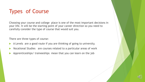# Types of Course

Choosing your course and college place is one of the most important decisions in your life. It will be the starting point of your career direction so you need to carefully consider the type of course that would suit you.

There are three types of course:

- A Levels are a good route if you are thinking of going to university.
- Vocational Studies are courses related to a particular areas of work
- Apprenticeships/ traineeships mean that you can learn on the job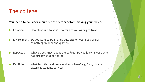### The college

You need to consider a number of factors before making your choice

- Location How close is it to you? How far are you willing to travel?
- **Environment** Do you want to be in a big busy site or would you prefer something smaller and quieter?
- Reputation What do you know about the college? Do you know anyone who has already studied there?
- Facilities What facilities and services does it have? e.g.Gym, library, catering, students services

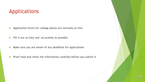## Applications

Application forms for college places are normally on line.

 $\blacktriangleright$  Fill it out as fully and accurately as possible

- Make sure you are aware of any deadlines for applications
- $\blacktriangleright$  Proof read and check the information carefully before you submit it

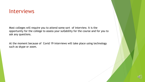#### Interviews

opportunity for the college to assess your suitability for the course and for you to Most colleges will require you to attend some sort of interview. It is the ask any questions.

At the moment because of Covid 19 interviews will take place using technology such as skype or zoom.

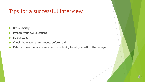# Tips for a successful Interview

- **Dress smartly**
- Prepare your own questions
- Be punctual
- **Check the travel arrangements beforehand**
- Relax and see the interview as an opportunity to sell yourself to the college

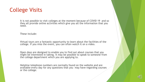# College Visits

It is not possible to visit colleges at the moment because of COVID 19 and so they all provide online activities which give you all the information that you need.

These include:

Virtual tours are a fantastic opportunity to learn about the facilities of the college. If you miss the event, you can often watch it on a video.

Open days are designed to enable you to find out about courses that you might be interested in taking. It may be possible to speak to someone from the college department which you are applying to.

Helpline telephone numbers are normally found on the website and are available every day for any questions that you may have regarding courses or the college.